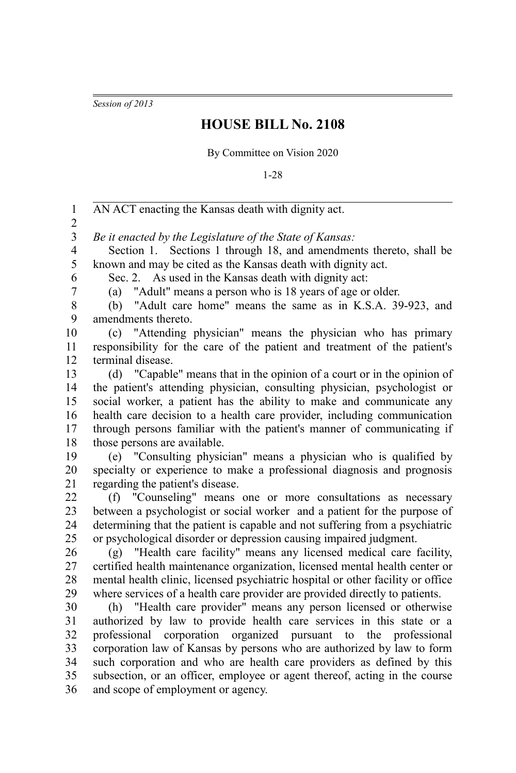*Session of 2013*

## **HOUSE BILL No. 2108**

By Committee on Vision 2020

1-28

AN ACT enacting the Kansas death with dignity act. *Be it enacted by the Legislature of the State of Kansas:* Section 1. Sections 1 through 18, and amendments thereto, shall be known and may be cited as the Kansas death with dignity act. Sec. 2. As used in the Kansas death with dignity act: (a) "Adult" means a person who is 18 years of age or older. (b) "Adult care home" means the same as in K.S.A. 39-923, and amendments thereto. (c) "Attending physician" means the physician who has primary responsibility for the care of the patient and treatment of the patient's terminal disease. (d) "Capable" means that in the opinion of a court or in the opinion of the patient's attending physician, consulting physician, psychologist or social worker, a patient has the ability to make and communicate any health care decision to a health care provider, including communication through persons familiar with the patient's manner of communicating if those persons are available. (e) "Consulting physician" means a physician who is qualified by specialty or experience to make a professional diagnosis and prognosis regarding the patient's disease. (f) "Counseling" means one or more consultations as necessary between a psychologist or social worker and a patient for the purpose of determining that the patient is capable and not suffering from a psychiatric or psychological disorder or depression causing impaired judgment. (g) "Health care facility" means any licensed medical care facility, certified health maintenance organization, licensed mental health center or mental health clinic, licensed psychiatric hospital or other facility or office where services of a health care provider are provided directly to patients. (h) "Health care provider" means any person licensed or otherwise authorized by law to provide health care services in this state or a professional corporation organized pursuant to the professional corporation law of Kansas by persons who are authorized by law to form such corporation and who are health care providers as defined by this subsection, or an officer, employee or agent thereof, acting in the course and scope of employment or agency. 1 2 3 4 5 6 7 8 9 10 11 12 13 14 15 16 17 18 19 20 21 22 23 24 25 26 27 28 29 30 31 32 33 34 35 36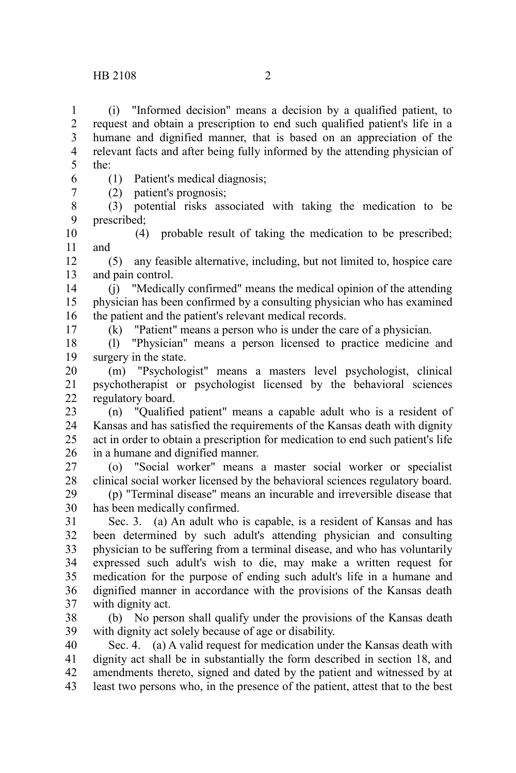(i) "Informed decision" means a decision by a qualified patient, to request and obtain a prescription to end such qualified patient's life in a humane and dignified manner, that is based on an appreciation of the relevant facts and after being fully informed by the attending physician of the: 1 2 3 4 5

6 7

17

(1) Patient's medical diagnosis;

(2) patient's prognosis;

(3) potential risks associated with taking the medication to be prescribed; 8 9

(4) probable result of taking the medication to be prescribed; and 10 11

(5) any feasible alternative, including, but not limited to, hospice care and pain control. 12 13

(j) "Medically confirmed" means the medical opinion of the attending physician has been confirmed by a consulting physician who has examined the patient and the patient's relevant medical records. 14 15 16

(k) "Patient" means a person who is under the care of a physician.

(l) "Physician" means a person licensed to practice medicine and surgery in the state. 18 19

(m) "Psychologist" means a masters level psychologist, clinical psychotherapist or psychologist licensed by the behavioral sciences regulatory board. 20 21 22

(n) "Qualified patient" means a capable adult who is a resident of Kansas and has satisfied the requirements of the Kansas death with dignity act in order to obtain a prescription for medication to end such patient's life in a humane and dignified manner. 23 24 25 26

(o) "Social worker" means a master social worker or specialist clinical social worker licensed by the behavioral sciences regulatory board. 27 28

(p) "Terminal disease" means an incurable and irreversible disease that has been medically confirmed. 29 30

Sec. 3. (a) An adult who is capable, is a resident of Kansas and has been determined by such adult's attending physician and consulting physician to be suffering from a terminal disease, and who has voluntarily expressed such adult's wish to die, may make a written request for medication for the purpose of ending such adult's life in a humane and dignified manner in accordance with the provisions of the Kansas death with dignity act. 31 32 33 34 35 36 37

(b) No person shall qualify under the provisions of the Kansas death with dignity act solely because of age or disability. 38 39

Sec. 4. (a) A valid request for medication under the Kansas death with dignity act shall be in substantially the form described in section 18, and amendments thereto, signed and dated by the patient and witnessed by at least two persons who, in the presence of the patient, attest that to the best 40 41 42 43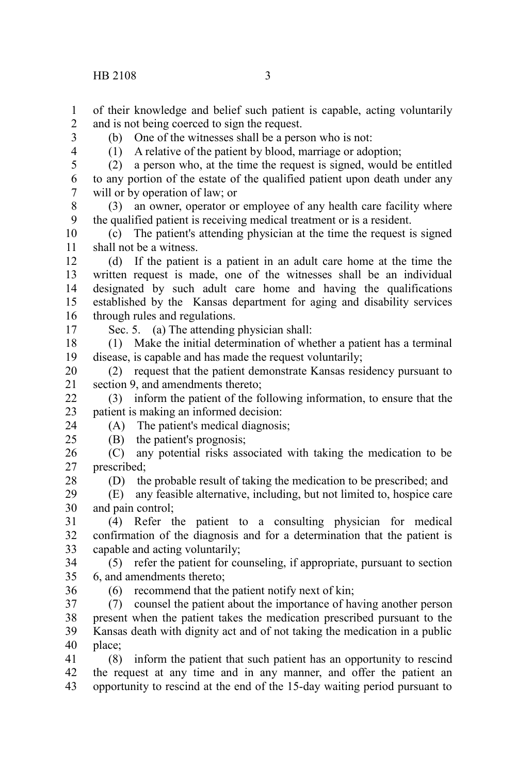of their knowledge and belief such patient is capable, acting voluntarily and is not being coerced to sign the request. 1 2

3

(b) One of the witnesses shall be a person who is not:

4

17

24 25

(1) A relative of the patient by blood, marriage or adoption;

(2) a person who, at the time the request is signed, would be entitled to any portion of the estate of the qualified patient upon death under any will or by operation of law; or 5 6 7

(3) an owner, operator or employee of any health care facility where the qualified patient is receiving medical treatment or is a resident. 8 9

(c) The patient's attending physician at the time the request is signed shall not be a witness. 10 11

(d) If the patient is a patient in an adult care home at the time the written request is made, one of the witnesses shall be an individual designated by such adult care home and having the qualifications established by the Kansas department for aging and disability services through rules and regulations. 12 13 14 15 16

Sec. 5. (a) The attending physician shall:

(1) Make the initial determination of whether a patient has a terminal disease, is capable and has made the request voluntarily; 18 19

(2) request that the patient demonstrate Kansas residency pursuant to section 9, and amendments thereto; 20 21

(3) inform the patient of the following information, to ensure that the patient is making an informed decision: 22 23

(A) The patient's medical diagnosis;

(B) the patient's prognosis;

(C) any potential risks associated with taking the medication to be prescribed; 26 27

(D) the probable result of taking the medication to be prescribed; and 28

(E) any feasible alternative, including, but not limited to, hospice care and pain control; 29 30

(4) Refer the patient to a consulting physician for medical confirmation of the diagnosis and for a determination that the patient is capable and acting voluntarily; 31 32 33

(5) refer the patient for counseling, if appropriate, pursuant to section 6, and amendments thereto; 34 35 36

(6) recommend that the patient notify next of kin;

(7) counsel the patient about the importance of having another person present when the patient takes the medication prescribed pursuant to the Kansas death with dignity act and of not taking the medication in a public place; 37 38 39 40

(8) inform the patient that such patient has an opportunity to rescind the request at any time and in any manner, and offer the patient an opportunity to rescind at the end of the 15-day waiting period pursuant to 41 42 43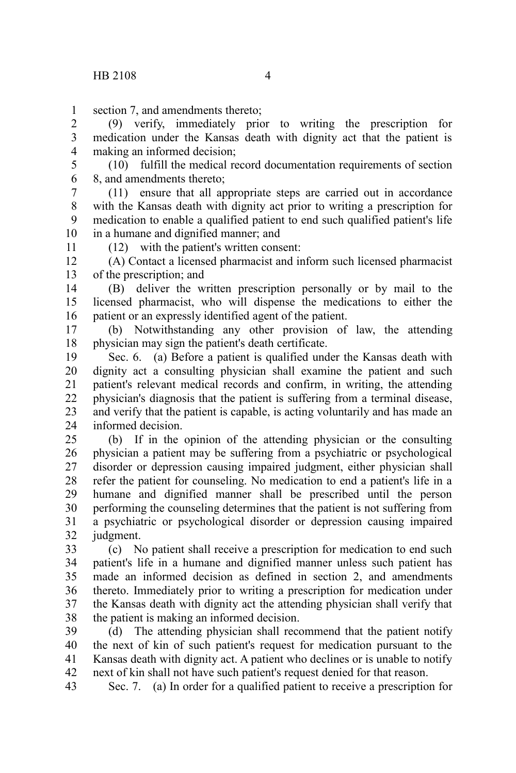section 7, and amendments thereto; 1

(9) verify, immediately prior to writing the prescription for medication under the Kansas death with dignity act that the patient is making an informed decision; 2 3 4

(10) fulfill the medical record documentation requirements of section 8, and amendments thereto; 5 6

(11) ensure that all appropriate steps are carried out in accordance with the Kansas death with dignity act prior to writing a prescription for medication to enable a qualified patient to end such qualified patient's life in a humane and dignified manner; and 7 8 9 10

11

(12) with the patient's written consent:

(A) Contact a licensed pharmacist and inform such licensed pharmacist of the prescription; and 12 13

(B) deliver the written prescription personally or by mail to the licensed pharmacist, who will dispense the medications to either the patient or an expressly identified agent of the patient. 14 15 16

(b) Notwithstanding any other provision of law, the attending physician may sign the patient's death certificate. 17 18

Sec. 6. (a) Before a patient is qualified under the Kansas death with dignity act a consulting physician shall examine the patient and such patient's relevant medical records and confirm, in writing, the attending physician's diagnosis that the patient is suffering from a terminal disease, and verify that the patient is capable, is acting voluntarily and has made an informed decision. 19 20 21 22 23 24

(b) If in the opinion of the attending physician or the consulting physician a patient may be suffering from a psychiatric or psychological disorder or depression causing impaired judgment, either physician shall refer the patient for counseling. No medication to end a patient's life in a humane and dignified manner shall be prescribed until the person performing the counseling determines that the patient is not suffering from a psychiatric or psychological disorder or depression causing impaired judgment. 25 26 27 28 29 30 31 32

(c) No patient shall receive a prescription for medication to end such patient's life in a humane and dignified manner unless such patient has made an informed decision as defined in section 2, and amendments thereto. Immediately prior to writing a prescription for medication under the Kansas death with dignity act the attending physician shall verify that the patient is making an informed decision. 33 34 35 36 37 38

(d) The attending physician shall recommend that the patient notify the next of kin of such patient's request for medication pursuant to the Kansas death with dignity act. A patient who declines or is unable to notify next of kin shall not have such patient's request denied for that reason. 39 40 41 42

Sec. 7. (a) In order for a qualified patient to receive a prescription for 43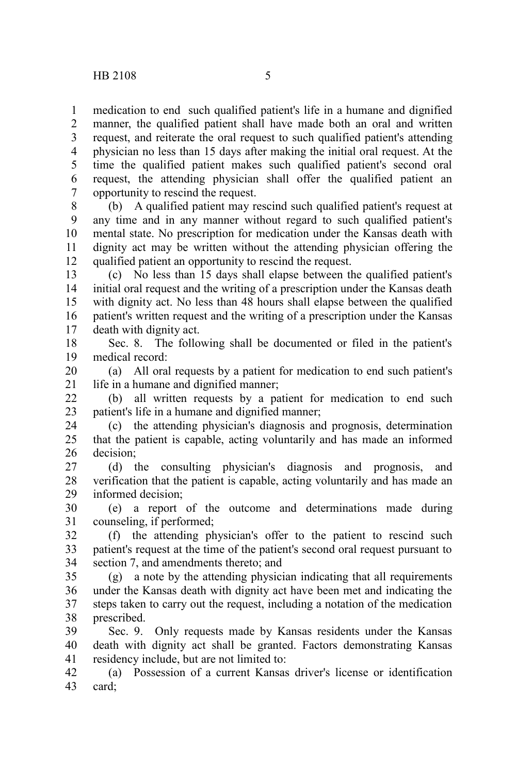medication to end such qualified patient's life in a humane and dignified manner, the qualified patient shall have made both an oral and written request, and reiterate the oral request to such qualified patient's attending physician no less than 15 days after making the initial oral request. At the time the qualified patient makes such qualified patient's second oral request, the attending physician shall offer the qualified patient an opportunity to rescind the request. 1 2 3 4 5 6 7

(b) A qualified patient may rescind such qualified patient's request at any time and in any manner without regard to such qualified patient's mental state. No prescription for medication under the Kansas death with dignity act may be written without the attending physician offering the qualified patient an opportunity to rescind the request. 8 9 10 11 12

(c) No less than 15 days shall elapse between the qualified patient's initial oral request and the writing of a prescription under the Kansas death with dignity act. No less than 48 hours shall elapse between the qualified patient's written request and the writing of a prescription under the Kansas death with dignity act. 13 14 15 16 17

Sec. 8. The following shall be documented or filed in the patient's medical record: 18 19

(a) All oral requests by a patient for medication to end such patient's life in a humane and dignified manner; 20 21

(b) all written requests by a patient for medication to end such patient's life in a humane and dignified manner; 22 23

(c) the attending physician's diagnosis and prognosis, determination that the patient is capable, acting voluntarily and has made an informed decision; 24 25 26

(d) the consulting physician's diagnosis and prognosis, and verification that the patient is capable, acting voluntarily and has made an informed decision; 27 28 29

(e) a report of the outcome and determinations made during counseling, if performed; 30 31

(f) the attending physician's offer to the patient to rescind such patient's request at the time of the patient's second oral request pursuant to section 7, and amendments thereto; and 32 33 34

(g) a note by the attending physician indicating that all requirements under the Kansas death with dignity act have been met and indicating the steps taken to carry out the request, including a notation of the medication prescribed. 35 36 37 38

Sec. 9. Only requests made by Kansas residents under the Kansas death with dignity act shall be granted. Factors demonstrating Kansas residency include, but are not limited to: 39 40 41

(a) Possession of a current Kansas driver's license or identification card; 42 43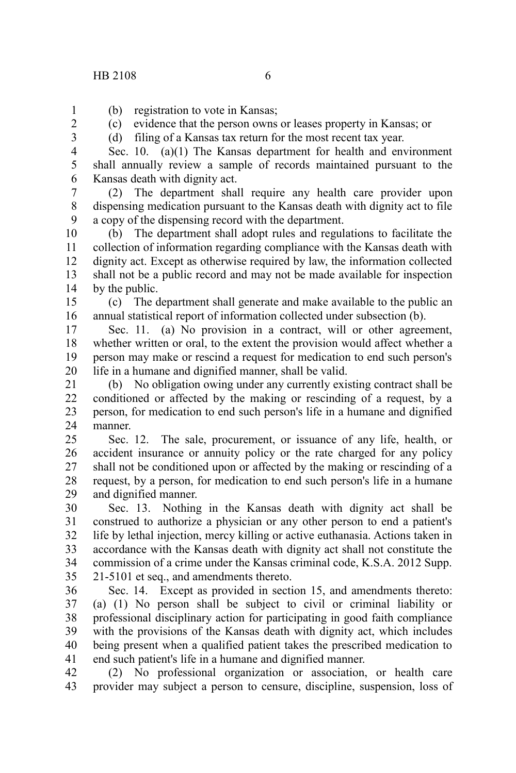1 2 3

(c) evidence that the person owns or leases property in Kansas; or

(d) filing of a Kansas tax return for the most recent tax year.

Sec. 10. (a)(1) The Kansas department for health and environment shall annually review a sample of records maintained pursuant to the Kansas death with dignity act. 4 5 6

(2) The department shall require any health care provider upon dispensing medication pursuant to the Kansas death with dignity act to file a copy of the dispensing record with the department. 7 8 9

(b) The department shall adopt rules and regulations to facilitate the collection of information regarding compliance with the Kansas death with dignity act. Except as otherwise required by law, the information collected shall not be a public record and may not be made available for inspection by the public. 10 11 12 13 14

(c) The department shall generate and make available to the public an annual statistical report of information collected under subsection (b). 15 16

Sec. 11. (a) No provision in a contract, will or other agreement, whether written or oral, to the extent the provision would affect whether a person may make or rescind a request for medication to end such person's life in a humane and dignified manner, shall be valid. 17 18 19 20

(b) No obligation owing under any currently existing contract shall be conditioned or affected by the making or rescinding of a request, by a person, for medication to end such person's life in a humane and dignified manner. 21 22 23 24

Sec. 12. The sale, procurement, or issuance of any life, health, or accident insurance or annuity policy or the rate charged for any policy shall not be conditioned upon or affected by the making or rescinding of a request, by a person, for medication to end such person's life in a humane and dignified manner. 25 26 27 28 29

Sec. 13. Nothing in the Kansas death with dignity act shall be construed to authorize a physician or any other person to end a patient's life by lethal injection, mercy killing or active euthanasia. Actions taken in accordance with the Kansas death with dignity act shall not constitute the commission of a crime under the Kansas criminal code, K.S.A. 2012 Supp. 21-5101 et seq., and amendments thereto. 30 31 32 33 34 35

Sec. 14. Except as provided in section 15, and amendments thereto: (a) (1) No person shall be subject to civil or criminal liability or professional disciplinary action for participating in good faith compliance with the provisions of the Kansas death with dignity act, which includes being present when a qualified patient takes the prescribed medication to end such patient's life in a humane and dignified manner. 36 37 38 39 40 41

(2) No professional organization or association, or health care provider may subject a person to censure, discipline, suspension, loss of 42 43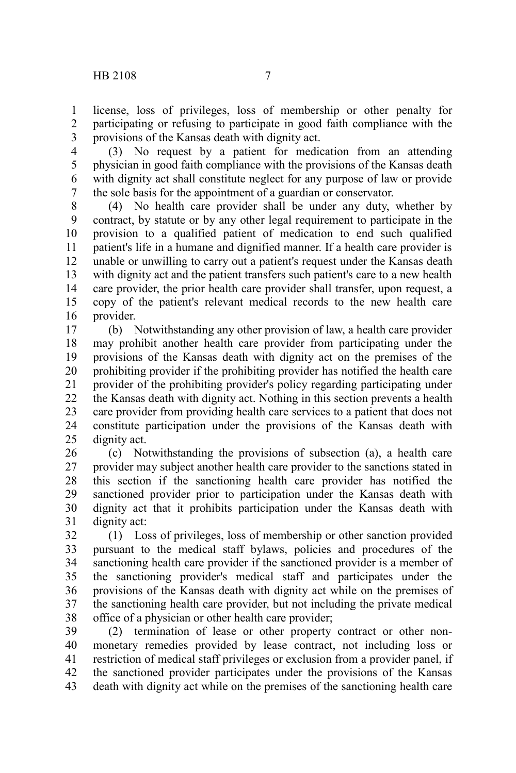license, loss of privileges, loss of membership or other penalty for participating or refusing to participate in good faith compliance with the provisions of the Kansas death with dignity act. 1 2 3

(3) No request by a patient for medication from an attending physician in good faith compliance with the provisions of the Kansas death with dignity act shall constitute neglect for any purpose of law or provide the sole basis for the appointment of a guardian or conservator. 4 5 6 7

(4) No health care provider shall be under any duty, whether by contract, by statute or by any other legal requirement to participate in the provision to a qualified patient of medication to end such qualified patient's life in a humane and dignified manner. If a health care provider is unable or unwilling to carry out a patient's request under the Kansas death with dignity act and the patient transfers such patient's care to a new health care provider, the prior health care provider shall transfer, upon request, a copy of the patient's relevant medical records to the new health care provider. 8 9 10 11 12 13 14 15 16

(b) Notwithstanding any other provision of law, a health care provider may prohibit another health care provider from participating under the provisions of the Kansas death with dignity act on the premises of the prohibiting provider if the prohibiting provider has notified the health care provider of the prohibiting provider's policy regarding participating under the Kansas death with dignity act. Nothing in this section prevents a health care provider from providing health care services to a patient that does not constitute participation under the provisions of the Kansas death with dignity act. 17 18 19 20 21 22 23 24 25

(c) Notwithstanding the provisions of subsection (a), a health care provider may subject another health care provider to the sanctions stated in this section if the sanctioning health care provider has notified the sanctioned provider prior to participation under the Kansas death with dignity act that it prohibits participation under the Kansas death with dignity act: 26 27 28 29 30 31

(1) Loss of privileges, loss of membership or other sanction provided pursuant to the medical staff bylaws, policies and procedures of the sanctioning health care provider if the sanctioned provider is a member of the sanctioning provider's medical staff and participates under the provisions of the Kansas death with dignity act while on the premises of the sanctioning health care provider, but not including the private medical office of a physician or other health care provider; 32 33 34 35 36 37 38

(2) termination of lease or other property contract or other nonmonetary remedies provided by lease contract, not including loss or restriction of medical staff privileges or exclusion from a provider panel, if the sanctioned provider participates under the provisions of the Kansas death with dignity act while on the premises of the sanctioning health care 39 40 41 42 43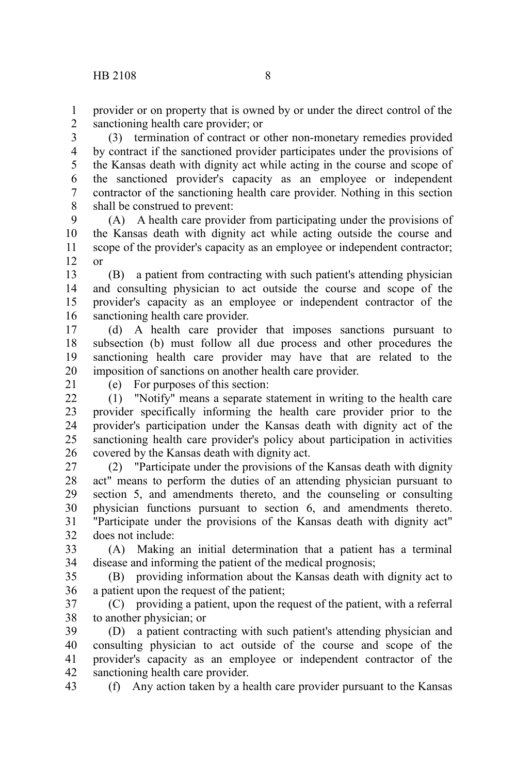provider or on property that is owned by or under the direct control of the sanctioning health care provider; or 1 2

(3) termination of contract or other non-monetary remedies provided by contract if the sanctioned provider participates under the provisions of the Kansas death with dignity act while acting in the course and scope of the sanctioned provider's capacity as an employee or independent contractor of the sanctioning health care provider. Nothing in this section shall be construed to prevent: 3 4 5 6 7 8

(A) A health care provider from participating under the provisions of the Kansas death with dignity act while acting outside the course and scope of the provider's capacity as an employee or independent contractor; or 9 10 11 12

(B) a patient from contracting with such patient's attending physician and consulting physician to act outside the course and scope of the provider's capacity as an employee or independent contractor of the sanctioning health care provider. 13 14 15 16

(d) A health care provider that imposes sanctions pursuant to subsection (b) must follow all due process and other procedures the sanctioning health care provider may have that are related to the imposition of sanctions on another health care provider. 17 18 19 20

21

(e) For purposes of this section:

(1) "Notify" means a separate statement in writing to the health care provider specifically informing the health care provider prior to the provider's participation under the Kansas death with dignity act of the sanctioning health care provider's policy about participation in activities covered by the Kansas death with dignity act.  $22$ 23 24 25 26

(2) "Participate under the provisions of the Kansas death with dignity act" means to perform the duties of an attending physician pursuant to section 5, and amendments thereto, and the counseling or consulting physician functions pursuant to section 6, and amendments thereto. "Participate under the provisions of the Kansas death with dignity act" does not include: 27 28 29 30 31 32

(A) Making an initial determination that a patient has a terminal disease and informing the patient of the medical prognosis; 33 34

(B) providing information about the Kansas death with dignity act to a patient upon the request of the patient; 35 36

(C) providing a patient, upon the request of the patient, with a referral to another physician; or 37 38

(D) a patient contracting with such patient's attending physician and consulting physician to act outside of the course and scope of the provider's capacity as an employee or independent contractor of the sanctioning health care provider. 39 40 41 42

(f) Any action taken by a health care provider pursuant to the Kansas 43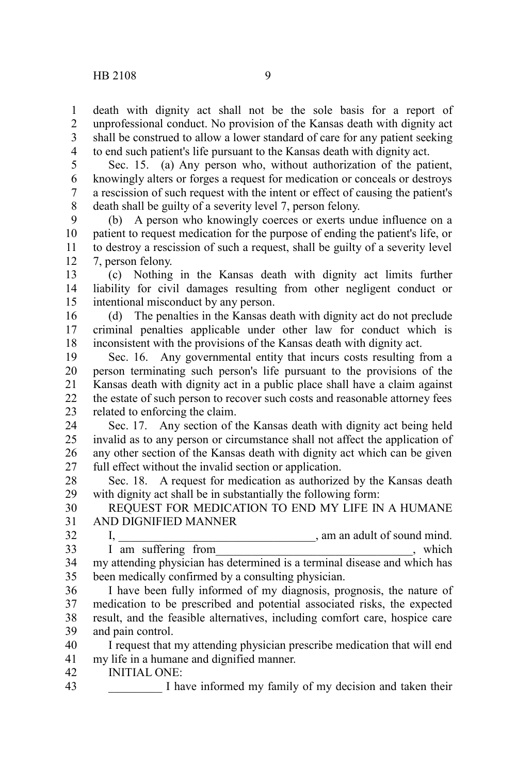death with dignity act shall not be the sole basis for a report of unprofessional conduct. No provision of the Kansas death with dignity act shall be construed to allow a lower standard of care for any patient seeking to end such patient's life pursuant to the Kansas death with dignity act. 1 2 3 4

Sec. 15. (a) Any person who, without authorization of the patient, knowingly alters or forges a request for medication or conceals or destroys a rescission of such request with the intent or effect of causing the patient's death shall be guilty of a severity level 7, person felony. 5 6 7 8

(b) A person who knowingly coerces or exerts undue influence on a patient to request medication for the purpose of ending the patient's life, or to destroy a rescission of such a request, shall be guilty of a severity level 7, person felony. 9 10 11 12

(c) Nothing in the Kansas death with dignity act limits further liability for civil damages resulting from other negligent conduct or intentional misconduct by any person. 13 14 15

(d) The penalties in the Kansas death with dignity act do not preclude criminal penalties applicable under other law for conduct which is inconsistent with the provisions of the Kansas death with dignity act. 16 17 18

Sec. 16. Any governmental entity that incurs costs resulting from a person terminating such person's life pursuant to the provisions of the Kansas death with dignity act in a public place shall have a claim against the estate of such person to recover such costs and reasonable attorney fees related to enforcing the claim. 19 20 21 22 23

Sec. 17. Any section of the Kansas death with dignity act being held invalid as to any person or circumstance shall not affect the application of any other section of the Kansas death with dignity act which can be given full effect without the invalid section or application. 24 25 26 27

Sec. 18. A request for medication as authorized by the Kansas death with dignity act shall be in substantially the following form: 28 29

REQUEST FOR MEDICATION TO END MY LIFE IN A HUMANE AND DIGNIFIED MANNER 30 31

 $I, \frac{I}{I}$  am an adult of sound mind.  $\overrightarrow{I}$  am suffering from , which my attending physician has determined is a terminal disease and which has been medically confirmed by a consulting physician. 32 33 34 35

I have been fully informed of my diagnosis, prognosis, the nature of medication to be prescribed and potential associated risks, the expected result, and the feasible alternatives, including comfort care, hospice care and pain control. 36 37 38 39

I request that my attending physician prescribe medication that will end my life in a humane and dignified manner. 40 41

INITIAL ONE: 42

I have informed my family of my decision and taken their 43